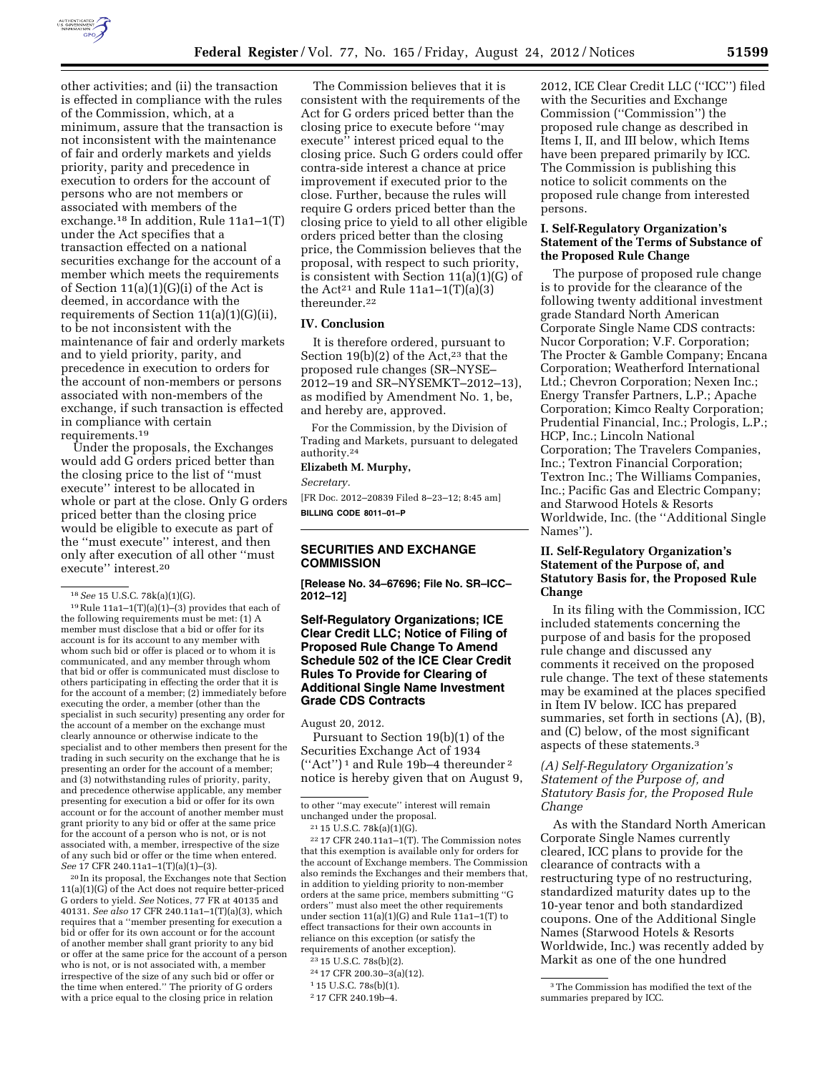

other activities; and (ii) the transaction is effected in compliance with the rules of the Commission, which, at a minimum, assure that the transaction is not inconsistent with the maintenance of fair and orderly markets and yields priority, parity and precedence in execution to orders for the account of persons who are not members or associated with members of the exchange.18 In addition, Rule 11a1–1(T) under the Act specifies that a transaction effected on a national securities exchange for the account of a member which meets the requirements of Section 11(a)(1)(G)(i) of the Act is deemed, in accordance with the requirements of Section 11(a)(1)(G)(ii), to be not inconsistent with the maintenance of fair and orderly markets and to yield priority, parity, and precedence in execution to orders for the account of non-members or persons associated with non-members of the exchange, if such transaction is effected in compliance with certain requirements.19

Under the proposals, the Exchanges would add G orders priced better than the closing price to the list of ''must execute'' interest to be allocated in whole or part at the close. Only G orders priced better than the closing price would be eligible to execute as part of the ''must execute'' interest, and then only after execution of all other ''must execute'' interest.20

 $19$  Rule  $11a1-1(T)(a)(1)-(3)$  provides that each of the following requirements must be met: (1) A member must disclose that a bid or offer for its account is for its account to any member with whom such bid or offer is placed or to whom it is communicated, and any member through whom that bid or offer is communicated must disclose to others participating in effecting the order that it is for the account of a member; (2) immediately before executing the order, a member (other than the specialist in such security) presenting any order for the account of a member on the exchange must clearly announce or otherwise indicate to the specialist and to other members then present for the trading in such security on the exchange that he is presenting an order for the account of a member; and (3) notwithstanding rules of priority, parity, and precedence otherwise applicable, any member presenting for execution a bid or offer for its own account or for the account of another member must grant priority to any bid or offer at the same price for the account of a person who is not, or is not associated with, a member, irrespective of the size of any such bid or offer or the time when entered. *See* 17 CFR 240.11a1–1(T)(a)(1)–(3).

20 In its proposal, the Exchanges note that Section 11(a)(1)(G) of the Act does not require better-priced G orders to yield. *See* Notices, 77 FR at 40135 and 40131. *See also* 17 CFR 240.11a1–1(T)(a)(3), which requires that a ''member presenting for execution a bid or offer for its own account or for the account of another member shall grant priority to any bid or offer at the same price for the account of a person who is not, or is not associated with, a member irrespective of the size of any such bid or offer or the time when entered.'' The priority of G orders with a price equal to the closing price in relation

The Commission believes that it is consistent with the requirements of the Act for G orders priced better than the closing price to execute before ''may execute'' interest priced equal to the closing price. Such G orders could offer contra-side interest a chance at price improvement if executed prior to the close. Further, because the rules will require G orders priced better than the closing price to yield to all other eligible orders priced better than the closing price, the Commission believes that the proposal, with respect to such priority, is consistent with Section 11(a)(1)(G) of the Act<sup>21</sup> and Rule  $11a1-1(T)(a)(3)$ thereunder.22

#### **IV. Conclusion**

It is therefore ordered, pursuant to Section 19(b)(2) of the Act,<sup>23</sup> that the proposed rule changes (SR–NYSE– 2012–19 and SR–NYSEMKT–2012–13), as modified by Amendment No. 1, be, and hereby are, approved.

For the Commission, by the Division of Trading and Markets, pursuant to delegated authority.24

# **Elizabeth M. Murphy,**

*Secretary.* 

[FR Doc. 2012–20839 Filed 8–23–12; 8:45 am] **BILLING CODE 8011–01–P** 

# **SECURITIES AND EXCHANGE COMMISSION**

**[Release No. 34–67696; File No. SR–ICC– 2012–12]** 

# **Self-Regulatory Organizations; ICE Clear Credit LLC; Notice of Filing of Proposed Rule Change To Amend Schedule 502 of the ICE Clear Credit Rules To Provide for Clearing of Additional Single Name Investment Grade CDS Contracts**

August 20, 2012.

Pursuant to Section 19(b)(1) of the Securities Exchange Act of 1934 (''Act'') 1 and Rule 19b–4 thereunder 2 notice is hereby given that on August 9,

 $^{22}$  17 CFR 240.11a1–1(T). The Commission notes that this exemption is available only for orders for the account of Exchange members. The Commission also reminds the Exchanges and their members that, in addition to yielding priority to non-member orders at the same price, members submitting ''G orders'' must also meet the other requirements under section  $11(a)(1)(G)$  and Rule  $11a1-1(T)$  to effect transactions for their own accounts in reliance on this exception (or satisfy the requirements of another exception).

24 17 CFR 200.30–3(a)(12).

2012, ICE Clear Credit LLC (''ICC'') filed with the Securities and Exchange Commission (''Commission'') the proposed rule change as described in Items I, II, and III below, which Items have been prepared primarily by ICC. The Commission is publishing this notice to solicit comments on the proposed rule change from interested persons.

## **I. Self-Regulatory Organization's Statement of the Terms of Substance of the Proposed Rule Change**

The purpose of proposed rule change is to provide for the clearance of the following twenty additional investment grade Standard North American Corporate Single Name CDS contracts: Nucor Corporation; V.F. Corporation; The Procter & Gamble Company; Encana Corporation; Weatherford International Ltd.; Chevron Corporation; Nexen Inc.; Energy Transfer Partners, L.P.; Apache Corporation; Kimco Realty Corporation; Prudential Financial, Inc.; Prologis, L.P.; HCP, Inc.; Lincoln National Corporation; The Travelers Companies, Inc.; Textron Financial Corporation; Textron Inc.; The Williams Companies, Inc.; Pacific Gas and Electric Company; and Starwood Hotels & Resorts Worldwide, Inc. (the ''Additional Single Names'').

## **II. Self-Regulatory Organization's Statement of the Purpose of, and Statutory Basis for, the Proposed Rule Change**

In its filing with the Commission, ICC included statements concerning the purpose of and basis for the proposed rule change and discussed any comments it received on the proposed rule change. The text of these statements may be examined at the places specified in Item IV below. ICC has prepared summaries, set forth in sections (A), (B), and (C) below, of the most significant aspects of these statements.3

# *(A) Self-Regulatory Organization's Statement of the Purpose of, and Statutory Basis for, the Proposed Rule Change*

As with the Standard North American Corporate Single Names currently cleared, ICC plans to provide for the clearance of contracts with a restructuring type of no restructuring, standardized maturity dates up to the 10-year tenor and both standardized coupons. One of the Additional Single Names (Starwood Hotels & Resorts Worldwide, Inc.) was recently added by Markit as one of the one hundred

<sup>18</sup>*See* 15 U.S.C. 78k(a)(1)(G).

to other ''may execute'' interest will remain unchanged under the proposal.

<sup>21</sup> 15 U.S.C. 78k(a)(1)(G).

<sup>23</sup> 15 U.S.C. 78s(b)(2).

<sup>1</sup> 15 U.S.C. 78s(b)(1).

<sup>2</sup> 17 CFR 240.19b–4.

<sup>3</sup>The Commission has modified the text of the summaries prepared by ICC.